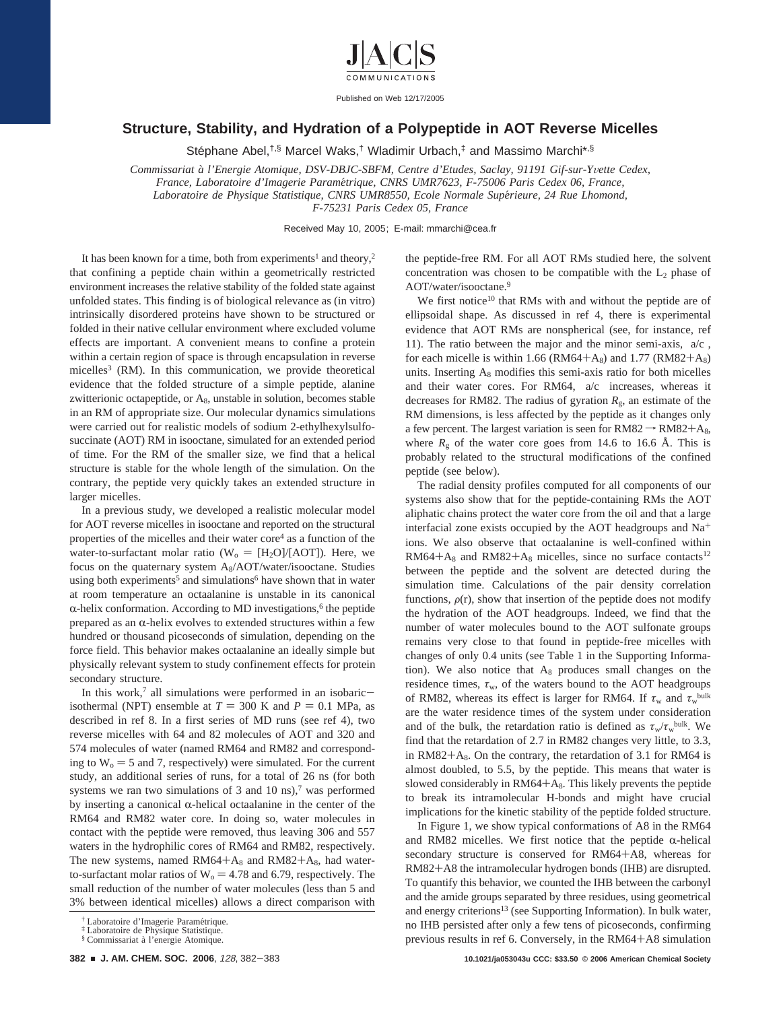

Published on Web 12/17/2005

## **Structure, Stability, and Hydration of a Polypeptide in AOT Reverse Micelles**

Stephane Abel,<sup>†,§</sup> Marcel Waks,<sup>†</sup> Wladimir Urbach,<sup>‡</sup> and Massimo Marchi<sup>\*,§</sup>

*Commissariat a*` *l'Energie Atomique, DSV-DBJC-SBFM, Centre d'Etudes, Saclay, 91191 Gif-sur-Y*V*ette Cedex, France, Laboratoire d'Imagerie Parame*´*trique, CNRS UMR7623, F-75006 Paris Cedex 06, France, Laboratoire de Physique Statistique, CNRS UMR8550, Ecole Normale Supe*´*rieure, 24 Rue Lhomond, F-75231 Paris Cedex 05, France*

Received May 10, 2005; E-mail: mmarchi@cea.fr

It has been known for a time, both from experiments<sup>1</sup> and theory,<sup>2</sup> that confining a peptide chain within a geometrically restricted environment increases the relative stability of the folded state against unfolded states. This finding is of biological relevance as (in vitro) intrinsically disordered proteins have shown to be structured or folded in their native cellular environment where excluded volume effects are important. A convenient means to confine a protein within a certain region of space is through encapsulation in reverse micelles<sup>3</sup> (RM). In this communication, we provide theoretical evidence that the folded structure of a simple peptide, alanine zwitterionic octapeptide, or  $A_8$ , unstable in solution, becomes stable in an RM of appropriate size. Our molecular dynamics simulations were carried out for realistic models of sodium 2-ethylhexylsulfosuccinate (AOT) RM in isooctane, simulated for an extended period of time. For the RM of the smaller size, we find that a helical structure is stable for the whole length of the simulation. On the contrary, the peptide very quickly takes an extended structure in larger micelles.

In a previous study, we developed a realistic molecular model for AOT reverse micelles in isooctane and reported on the structural properties of the micelles and their water core<sup>4</sup> as a function of the water-to-surfactant molar ratio ( $W_0 = [H_2O]/[AOT]$ ). Here, we focus on the quaternary system A<sub>8</sub>/AOT/water/isooctane. Studies using both experiments<sup>5</sup> and simulations<sup>6</sup> have shown that in water at room temperature an octaalanine is unstable in its canonical  $\alpha$ -helix conformation. According to MD investigations,<sup>6</sup> the peptide prepared as an  $\alpha$ -helix evolves to extended structures within a few hundred or thousand picoseconds of simulation, depending on the force field. This behavior makes octaalanine an ideally simple but physically relevant system to study confinement effects for protein secondary structure.

In this work, $7$  all simulations were performed in an isobaricisothermal (NPT) ensemble at  $T = 300$  K and  $P = 0.1$  MPa, as described in ref 8. In a first series of MD runs (see ref 4), two reverse micelles with 64 and 82 molecules of AOT and 320 and 574 molecules of water (named RM64 and RM82 and corresponding to  $W_0 = 5$  and 7, respectively) were simulated. For the current study, an additional series of runs, for a total of 26 ns (for both systems we ran two simulations of  $3$  and  $10 \text{ ns}$ ,<sup>7</sup> was performed by inserting a canonical  $\alpha$ -helical octaalanine in the center of the RM64 and RM82 water core. In doing so, water molecules in contact with the peptide were removed, thus leaving 306 and 557 waters in the hydrophilic cores of RM64 and RM82, respectively. The new systems, named  $RM64+A_8$  and  $RM82+A_8$ , had waterto-surfactant molar ratios of  $W_0 = 4.78$  and 6.79, respectively. The small reduction of the number of water molecules (less than 5 and 3% between identical micelles) allows a direct comparison with

the peptide-free RM. For all AOT RMs studied here, the solvent concentration was chosen to be compatible with the  $L_2$  phase of AOT/water/isooctane.9

We first notice<sup>10</sup> that RMs with and without the peptide are of ellipsoidal shape. As discussed in ref 4, there is experimental evidence that AOT RMs are nonspherical (see, for instance, ref 11). The ratio between the major and the minor semi-axis,  $\langle a/c \rangle$ , for each micelle is within 1.66 ( $RM64+A_8$ ) and 1.77 ( $RM82+A_8$ ) units. Inserting  $A_8$  modifies this semi-axis ratio for both micelles and their water cores. For RM64,  $\langle a/c \rangle$  increases, whereas it decreases for RM82. The radius of gyration  $R_{g}$ , an estimate of the RM dimensions, is less affected by the peptide as it changes only a few percent. The largest variation is seen for  $RM82 \rightarrow RM82+A_8$ , where  $R_g$  of the water core goes from 14.6 to 16.6 Å. This is probably related to the structural modifications of the confined peptide (see below).

The radial density profiles computed for all components of our systems also show that for the peptide-containing RMs the AOT aliphatic chains protect the water core from the oil and that a large interfacial zone exists occupied by the AOT headgroups and Na+ ions. We also observe that octaalanine is well-confined within  $RM64+A_8$  and  $RM82+A_8$  micelles, since no surface contacts<sup>12</sup> between the peptide and the solvent are detected during the simulation time. Calculations of the pair density correlation functions,  $\rho(r)$ , show that insertion of the peptide does not modify the hydration of the AOT headgroups. Indeed, we find that the number of water molecules bound to the AOT sulfonate groups remains very close to that found in peptide-free micelles with changes of only 0.4 units (see Table 1 in the Supporting Information). We also notice that  $A_8$  produces small changes on the residence times,  $\tau_w$ , of the waters bound to the AOT headgroups of RM82, whereas its effect is larger for RM64. If  $\tau_w$  and  $\tau_w^{\text{bulk}}$ are the water residence times of the system under consideration and of the bulk, the retardation ratio is defined as  $\tau_w/\tau_w^{\text{bulk}}$ . We find that the retardation of 2.7 in RM82 changes very little, to 3.3, in RM82+ $A_8$ . On the contrary, the retardation of 3.1 for RM64 is almost doubled, to 5.5, by the peptide. This means that water is slowed considerably in  $RM64+A_8$ . This likely prevents the peptide to break its intramolecular H-bonds and might have crucial implications for the kinetic stability of the peptide folded structure.

In Figure 1, we show typical conformations of A8 in the RM64 and RM82 micelles. We first notice that the peptide  $\alpha$ -helical secondary structure is conserved for RM64+A8, whereas for RM82+A8 the intramolecular hydrogen bonds (IHB) are disrupted. To quantify this behavior, we counted the IHB between the carbonyl and the amide groups separated by three residues, using geometrical and energy criterions<sup>13</sup> (see Supporting Information). In bulk water, no IHB persisted after only a few tens of picoseconds, confirming previous results in ref 6. Conversely, in the RM64+A8 simulation

<sup>†</sup> Laboratoire d'Imagerie Paramétrique.<br>‡ Laboratoire de Physique Statistique.

<sup>§</sup> Commissariat a` l'energie Atomique.